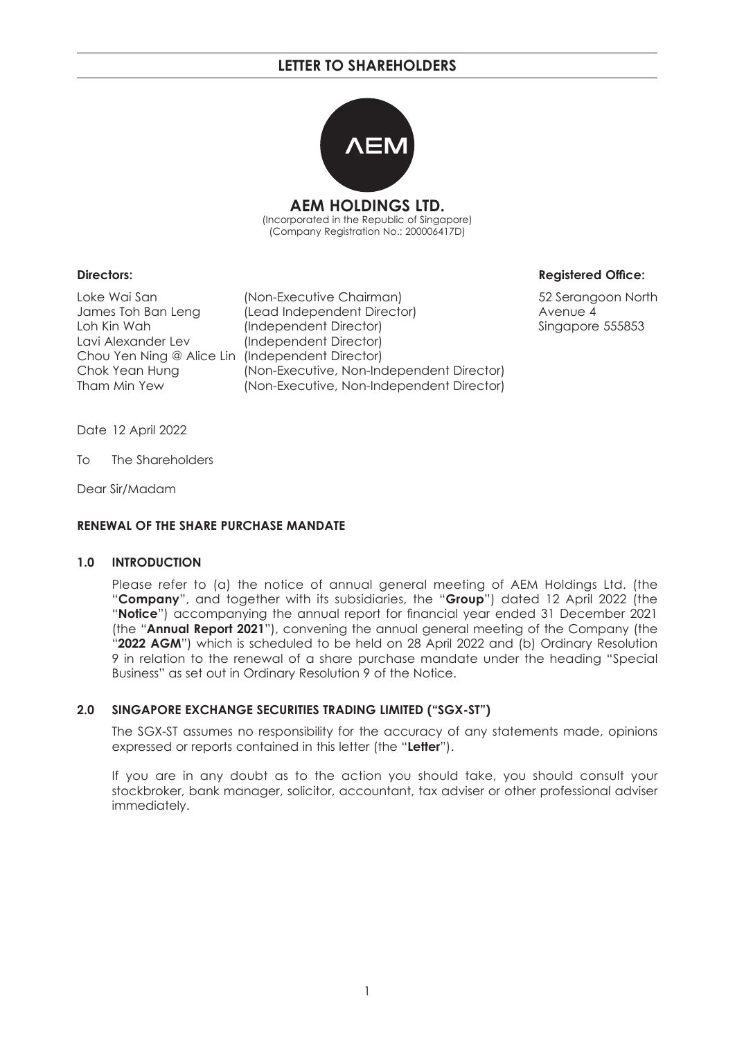

**AEM HOLDINGS LTD.** (Incorporated in the Republic of Singapore) (Company Registration No.: 200006417D)

Lavi Alexander Lev (Independent Director) Chou Yen Ning @ Alice Lin (Independent Director)

Loke Wai San (Non-Executive Chairman) 52 Serangoon North James Toh Ban Leng (Lead Independent Director) Avenue 4 Loh Kin Wah (Independent Director) Singapore 555853 Chok Yean Hung (Non-Executive, Non-Independent Director) Tham Min Yew (Non-Executive, Non-Independent Director)

#### **Directors:** Registered Office:

Date 12 April 2022

To The Shareholders

Dear Sir/Madam

#### **RENEWAL OF THE SHARE PURCHASE MANDATE**

#### **1.0 INTRODUCTION**

 Please refer to (a) the notice of annual general meeting of AEM Holdings Ltd. (the "**Company**", and together with its subsidiaries, the "**Group**") dated 12 April 2022 (the "Notice") accompanying the annual report for financial year ended 31 December 2021 (the "**Annual Report 2021**"), convening the annual general meeting of the Company (the "**2022 AGM**") which is scheduled to be held on 28 April 2022 and (b) Ordinary Resolution 9 in relation to the renewal of a share purchase mandate under the heading "Special Business" as set out in Ordinary Resolution 9 of the Notice.

#### **2.0 SINGAPORE EXCHANGE SECURITIES TRADING LIMITED ("SGX-ST")**

 The SGX-ST assumes no responsibility for the accuracy of any statements made, opinions expressed or reports contained in this letter (the "**Letter**").

 If you are in any doubt as to the action you should take, you should consult your stockbroker, bank manager, solicitor, accountant, tax adviser or other professional adviser immediately.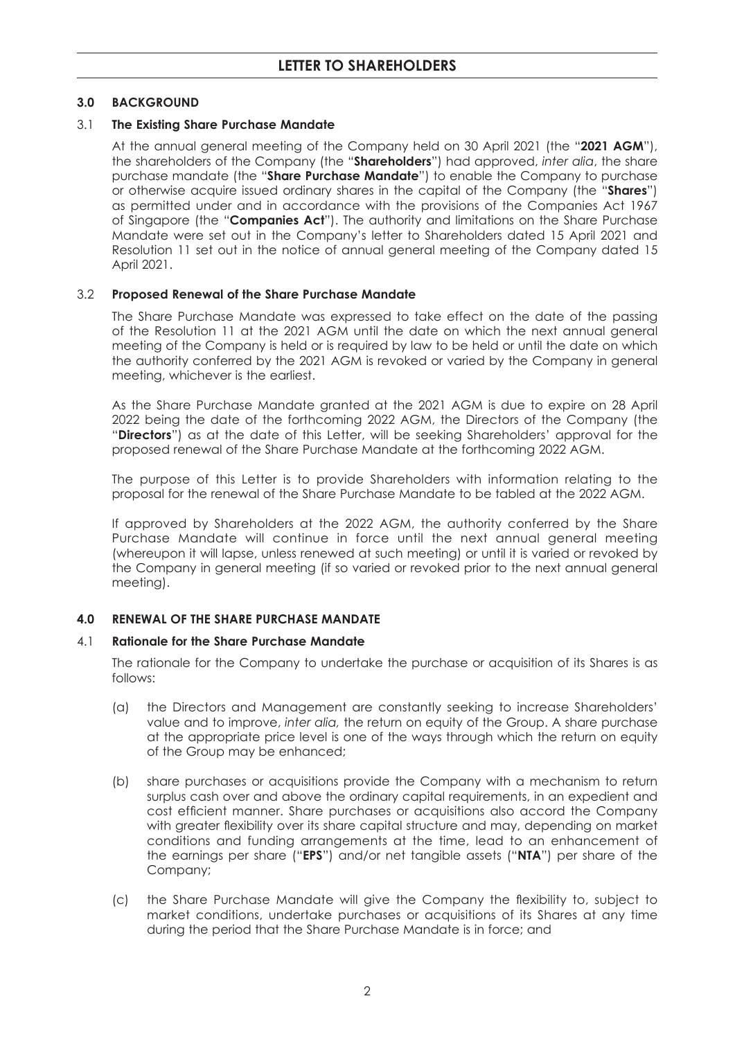## **3.0 BACKGROUND**

## 3.1 **The Existing Share Purchase Mandate**

 At the annual general meeting of the Company held on 30 April 2021 (the "**2021 AGM**"), the shareholders of the Company (the "**Shareholders**") had approved, *inter alia*, the share purchase mandate (the "**Share Purchase Mandate**") to enable the Company to purchase or otherwise acquire issued ordinary shares in the capital of the Company (the "**Shares**") as permitted under and in accordance with the provisions of the Companies Act 1967 of Singapore (the "**Companies Act**"). The authority and limitations on the Share Purchase Mandate were set out in the Company's letter to Shareholders dated 15 April 2021 and Resolution 11 set out in the notice of annual general meeting of the Company dated 15 April 2021.

#### 3.2 **Proposed Renewal of the Share Purchase Mandate**

 The Share Purchase Mandate was expressed to take effect on the date of the passing of the Resolution 11 at the 2021 AGM until the date on which the next annual general meeting of the Company is held or is required by law to be held or until the date on which the authority conferred by the 2021 AGM is revoked or varied by the Company in general meeting, whichever is the earliest.

 As the Share Purchase Mandate granted at the 2021 AGM is due to expire on 28 April 2022 being the date of the forthcoming 2022 AGM, the Directors of the Company (the "**Directors**") as at the date of this Letter, will be seeking Shareholders' approval for the proposed renewal of the Share Purchase Mandate at the forthcoming 2022 AGM.

 The purpose of this Letter is to provide Shareholders with information relating to the proposal for the renewal of the Share Purchase Mandate to be tabled at the 2022 AGM.

 If approved by Shareholders at the 2022 AGM, the authority conferred by the Share Purchase Mandate will continue in force until the next annual general meeting (whereupon it will lapse, unless renewed at such meeting) or until it is varied or revoked by the Company in general meeting (if so varied or revoked prior to the next annual general meeting).

## **4.0 RENEWAL OF THE SHARE PURCHASE MANDATE**

#### 4.1 **Rationale for the Share Purchase Mandate**

 The rationale for the Company to undertake the purchase or acquisition of its Shares is as follows:

- (a) the Directors and Management are constantly seeking to increase Shareholders' value and to improve, *inter alia,* the return on equity of the Group. A share purchase at the appropriate price level is one of the ways through which the return on equity of the Group may be enhanced;
- (b) share purchases or acquisitions provide the Company with a mechanism to return surplus cash over and above the ordinary capital requirements, in an expedient and cost efficient manner. Share purchases or acquisitions also accord the Company with greater flexibility over its share capital structure and may, depending on market conditions and funding arrangements at the time, lead to an enhancement of the earnings per share ("**EPS**") and/or net tangible assets ("**NTA**") per share of the Company;
- (c) the Share Purchase Mandate will give the Company the flexibility to, subject to market conditions, undertake purchases or acquisitions of its Shares at any time during the period that the Share Purchase Mandate is in force; and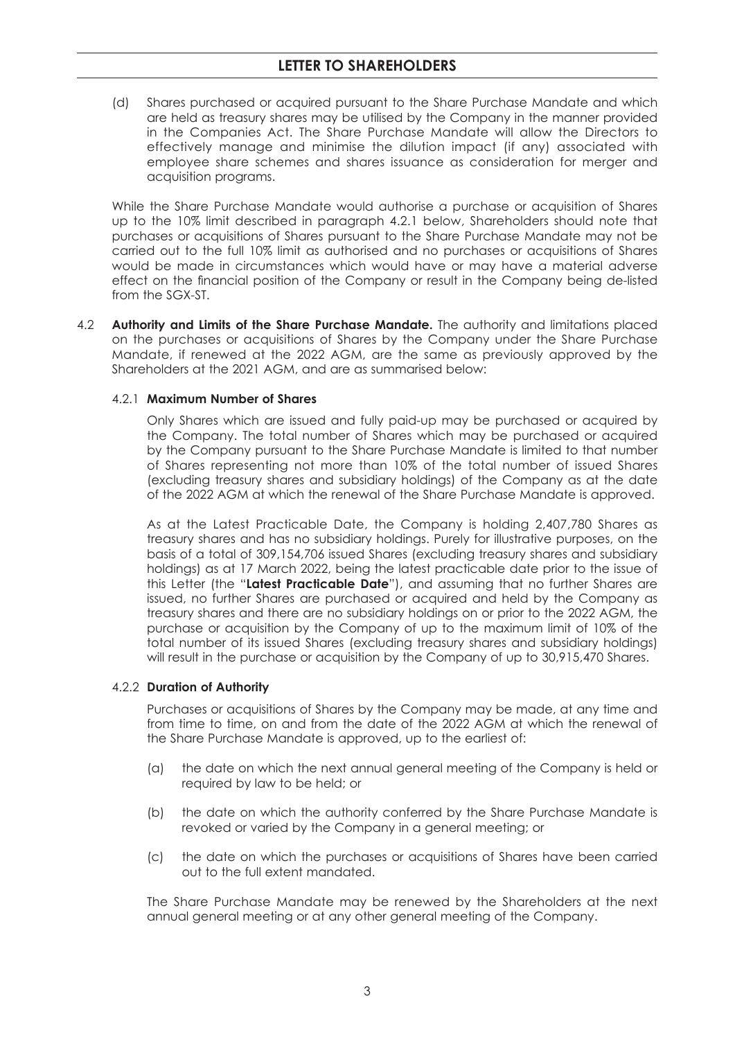(d) Shares purchased or acquired pursuant to the Share Purchase Mandate and which are held as treasury shares may be utilised by the Company in the manner provided in the Companies Act. The Share Purchase Mandate will allow the Directors to effectively manage and minimise the dilution impact (if any) associated with employee share schemes and shares issuance as consideration for merger and acquisition programs.

 While the Share Purchase Mandate would authorise a purchase or acquisition of Shares up to the 10% limit described in paragraph 4.2.1 below, Shareholders should note that purchases or acquisitions of Shares pursuant to the Share Purchase Mandate may not be carried out to the full 10% limit as authorised and no purchases or acquisitions of Shares would be made in circumstances which would have or may have a material adverse effect on the financial position of the Company or result in the Company being de-listed from the SGX-ST.

4.2 **Authority and Limits of the Share Purchase Mandate.** The authority and limitations placed on the purchases or acquisitions of Shares by the Company under the Share Purchase Mandate, if renewed at the 2022 AGM, are the same as previously approved by the Shareholders at the 2021 AGM, and are as summarised below:

#### 4.2.1 **Maximum Number of Shares**

 Only Shares which are issued and fully paid-up may be purchased or acquired by the Company. The total number of Shares which may be purchased or acquired by the Company pursuant to the Share Purchase Mandate is limited to that number of Shares representing not more than 10% of the total number of issued Shares (excluding treasury shares and subsidiary holdings) of the Company as at the date of the 2022 AGM at which the renewal of the Share Purchase Mandate is approved.

 As at the Latest Practicable Date, the Company is holding 2,407,780 Shares as treasury shares and has no subsidiary holdings. Purely for illustrative purposes, on the basis of a total of 309,154,706 issued Shares (excluding treasury shares and subsidiary holdings) as at 17 March 2022, being the latest practicable date prior to the issue of this Letter (the "**Latest Practicable Date**"), and assuming that no further Shares are issued, no further Shares are purchased or acquired and held by the Company as treasury shares and there are no subsidiary holdings on or prior to the 2022 AGM, the purchase or acquisition by the Company of up to the maximum limit of 10% of the total number of its issued Shares (excluding treasury shares and subsidiary holdings) will result in the purchase or acquisition by the Company of up to 30,915,470 Shares.

#### 4.2.2 **Duration of Authority**

 Purchases or acquisitions of Shares by the Company may be made, at any time and from time to time, on and from the date of the 2022 AGM at which the renewal of the Share Purchase Mandate is approved, up to the earliest of:

- (a) the date on which the next annual general meeting of the Company is held or required by law to be held; or
- (b) the date on which the authority conferred by the Share Purchase Mandate is revoked or varied by the Company in a general meeting; or
- (c) the date on which the purchases or acquisitions of Shares have been carried out to the full extent mandated.

 The Share Purchase Mandate may be renewed by the Shareholders at the next annual general meeting or at any other general meeting of the Company.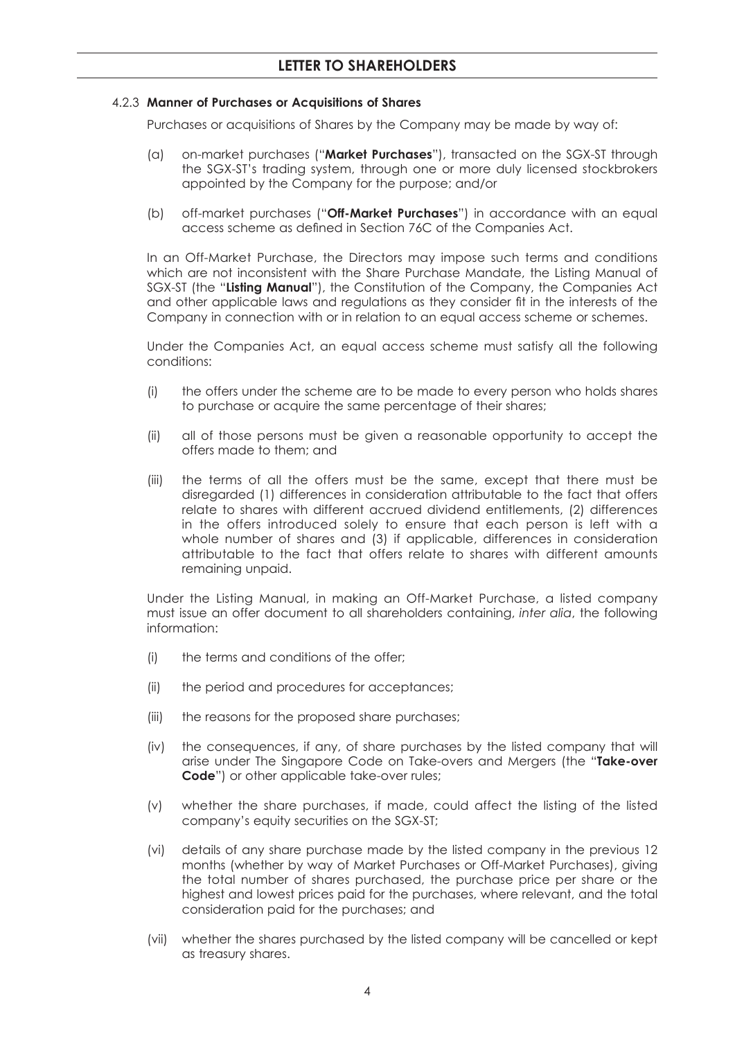#### 4.2.3 **Manner of Purchases or Acquisitions of Shares**

Purchases or acquisitions of Shares by the Company may be made by way of:

- (a) on-market purchases ("**Market Purchases**"), transacted on the SGX-ST through the SGX-ST's trading system, through one or more duly licensed stockbrokers appointed by the Company for the purpose; and/or
- (b) off-market purchases ("**Off-Market Purchases**") in accordance with an equal access scheme as defined in Section 76C of the Companies Act.

 In an Off-Market Purchase, the Directors may impose such terms and conditions which are not inconsistent with the Share Purchase Mandate, the Listing Manual of SGX-ST (the "**Listing Manual**"), the Constitution of the Company, the Companies Act and other applicable laws and regulations as they consider fit in the interests of the Company in connection with or in relation to an equal access scheme or schemes.

 Under the Companies Act, an equal access scheme must satisfy all the following conditions:

- (i) the offers under the scheme are to be made to every person who holds shares to purchase or acquire the same percentage of their shares;
- (ii) all of those persons must be given a reasonable opportunity to accept the offers made to them; and
- (iii) the terms of all the offers must be the same, except that there must be disregarded (1) differences in consideration attributable to the fact that offers relate to shares with different accrued dividend entitlements, (2) differences in the offers introduced solely to ensure that each person is left with a whole number of shares and (3) if applicable, differences in consideration attributable to the fact that offers relate to shares with different amounts remaining unpaid.

 Under the Listing Manual, in making an Off-Market Purchase, a listed company must issue an offer document to all shareholders containing, *inter alia*, the following information:

- (i) the terms and conditions of the offer;
- (ii) the period and procedures for acceptances;
- (iii) the reasons for the proposed share purchases;
- (iv) the consequences, if any, of share purchases by the listed company that will arise under The Singapore Code on Take-overs and Mergers (the "**Take-over Code**") or other applicable take-over rules;
- (v) whether the share purchases, if made, could affect the listing of the listed company's equity securities on the SGX-ST;
- (vi) details of any share purchase made by the listed company in the previous 12 months (whether by way of Market Purchases or Off-Market Purchases), giving the total number of shares purchased, the purchase price per share or the highest and lowest prices paid for the purchases, where relevant, and the total consideration paid for the purchases; and
- (vii) whether the shares purchased by the listed company will be cancelled or kept as treasury shares.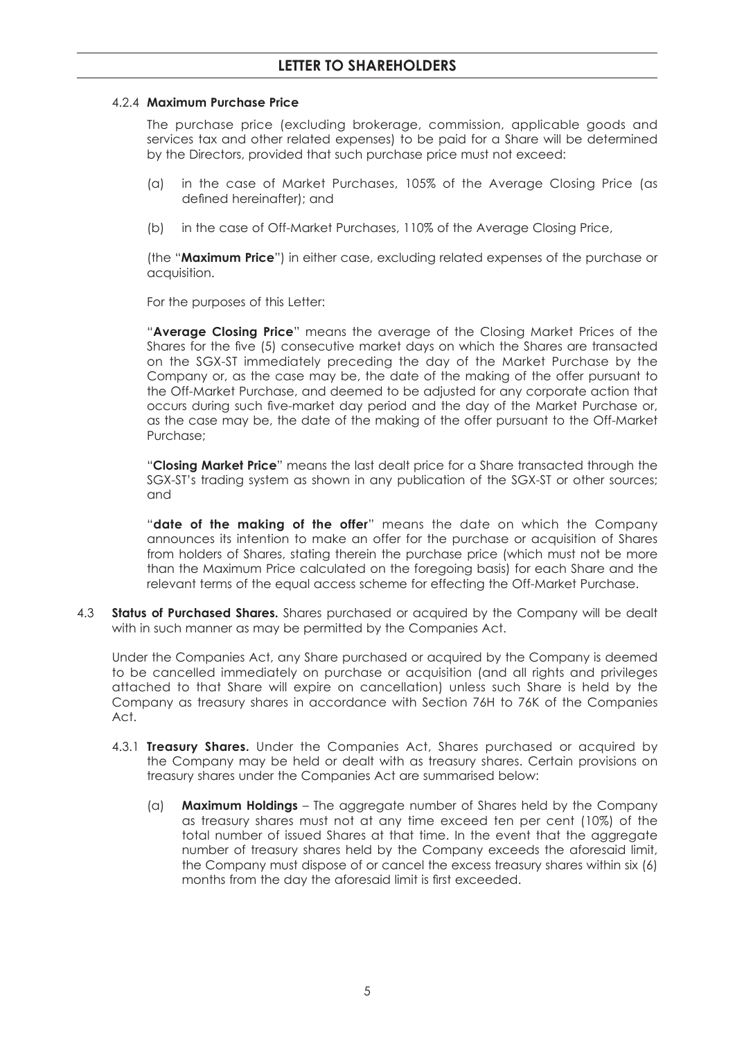#### 4.2.4 **Maximum Purchase Price**

 The purchase price (excluding brokerage, commission, applicable goods and services tax and other related expenses) to be paid for a Share will be determined by the Directors, provided that such purchase price must not exceed:

- (a) in the case of Market Purchases, 105% of the Average Closing Price (as defined hereinafter); and
- (b) in the case of Off-Market Purchases, 110% of the Average Closing Price,

 (the "**Maximum Price**") in either case, excluding related expenses of the purchase or acquisition.

For the purposes of this Letter:

 "**Average Closing Price**" means the average of the Closing Market Prices of the Shares for the five (5) consecutive market days on which the Shares are transacted on the SGX-ST immediately preceding the day of the Market Purchase by the Company or, as the case may be, the date of the making of the offer pursuant to the Off-Market Purchase, and deemed to be adjusted for any corporate action that occurs during such five-market day period and the day of the Market Purchase or, as the case may be, the date of the making of the offer pursuant to the Off-Market Purchase;

 "**Closing Market Price**" means the last dealt price for a Share transacted through the SGX-ST's trading system as shown in any publication of the SGX-ST or other sources; and

 "**date of the making of the offer**" means the date on which the Company announces its intention to make an offer for the purchase or acquisition of Shares from holders of Shares, stating therein the purchase price (which must not be more than the Maximum Price calculated on the foregoing basis) for each Share and the relevant terms of the equal access scheme for effecting the Off-Market Purchase.

4.3 **Status of Purchased Shares.** Shares purchased or acquired by the Company will be dealt with in such manner as may be permitted by the Companies Act.

 Under the Companies Act, any Share purchased or acquired by the Company is deemed to be cancelled immediately on purchase or acquisition (and all rights and privileges attached to that Share will expire on cancellation) unless such Share is held by the Company as treasury shares in accordance with Section 76H to 76K of the Companies Act.

- 4.3.1 **Treasury Shares.** Under the Companies Act, Shares purchased or acquired by the Company may be held or dealt with as treasury shares. Certain provisions on treasury shares under the Companies Act are summarised below:
	- (a) **Maximum Holdings** The aggregate number of Shares held by the Company as treasury shares must not at any time exceed ten per cent (10%) of the total number of issued Shares at that time. In the event that the aggregate number of treasury shares held by the Company exceeds the aforesaid limit, the Company must dispose of or cancel the excess treasury shares within six (6) months from the day the aforesaid limit is first exceeded.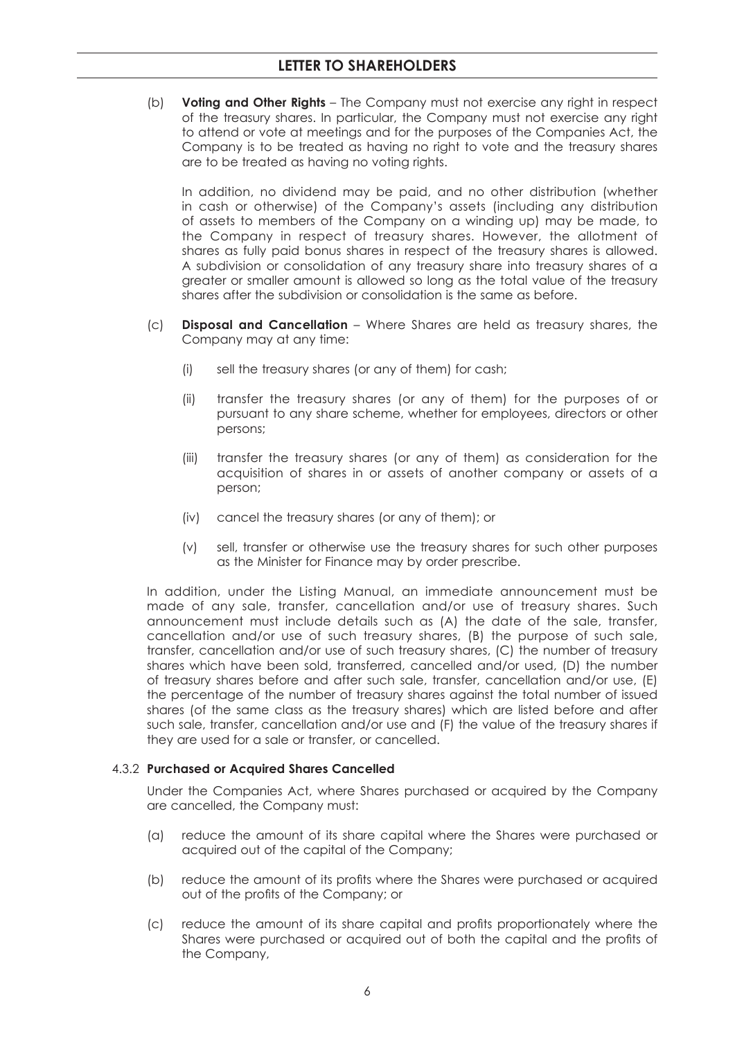(b) **Voting and Other Rights** – The Company must not exercise any right in respect of the treasury shares. In particular, the Company must not exercise any right to attend or vote at meetings and for the purposes of the Companies Act, the Company is to be treated as having no right to vote and the treasury shares are to be treated as having no voting rights.

 In addition, no dividend may be paid, and no other distribution (whether in cash or otherwise) of the Company's assets (including any distribution of assets to members of the Company on a winding up) may be made, to the Company in respect of treasury shares. However, the allotment of shares as fully paid bonus shares in respect of the treasury shares is allowed. A subdivision or consolidation of any treasury share into treasury shares of a greater or smaller amount is allowed so long as the total value of the treasury shares after the subdivision or consolidation is the same as before.

- (c) **Disposal and Cancellation** Where Shares are held as treasury shares, the Company may at any time:
	- (i) sell the treasury shares (or any of them) for cash;
	- (ii) transfer the treasury shares (or any of them) for the purposes of or pursuant to any share scheme, whether for employees, directors or other persons;
	- (iii) transfer the treasury shares (or any of them) as consideration for the acquisition of shares in or assets of another company or assets of a person;
	- (iv) cancel the treasury shares (or any of them); or
	- (v) sell, transfer or otherwise use the treasury shares for such other purposes as the Minister for Finance may by order prescribe.

 In addition, under the Listing Manual, an immediate announcement must be made of any sale, transfer, cancellation and/or use of treasury shares. Such announcement must include details such as (A) the date of the sale, transfer, cancellation and/or use of such treasury shares, (B) the purpose of such sale, transfer, cancellation and/or use of such treasury shares, (C) the number of treasury shares which have been sold, transferred, cancelled and/or used, (D) the number of treasury shares before and after such sale, transfer, cancellation and/or use, (E) the percentage of the number of treasury shares against the total number of issued shares (of the same class as the treasury shares) which are listed before and after such sale, transfer, cancellation and/or use and (F) the value of the treasury shares if they are used for a sale or transfer, or cancelled.

## 4.3.2 **Purchased or Acquired Shares Cancelled**

 Under the Companies Act, where Shares purchased or acquired by the Company are cancelled, the Company must:

- (a) reduce the amount of its share capital where the Shares were purchased or acquired out of the capital of the Company;
- (b) reduce the amount of its profits where the Shares were purchased or acquired out of the profits of the Company; or
- (c) reduce the amount of its share capital and profits proportionately where the Shares were purchased or acquired out of both the capital and the profits of the Company,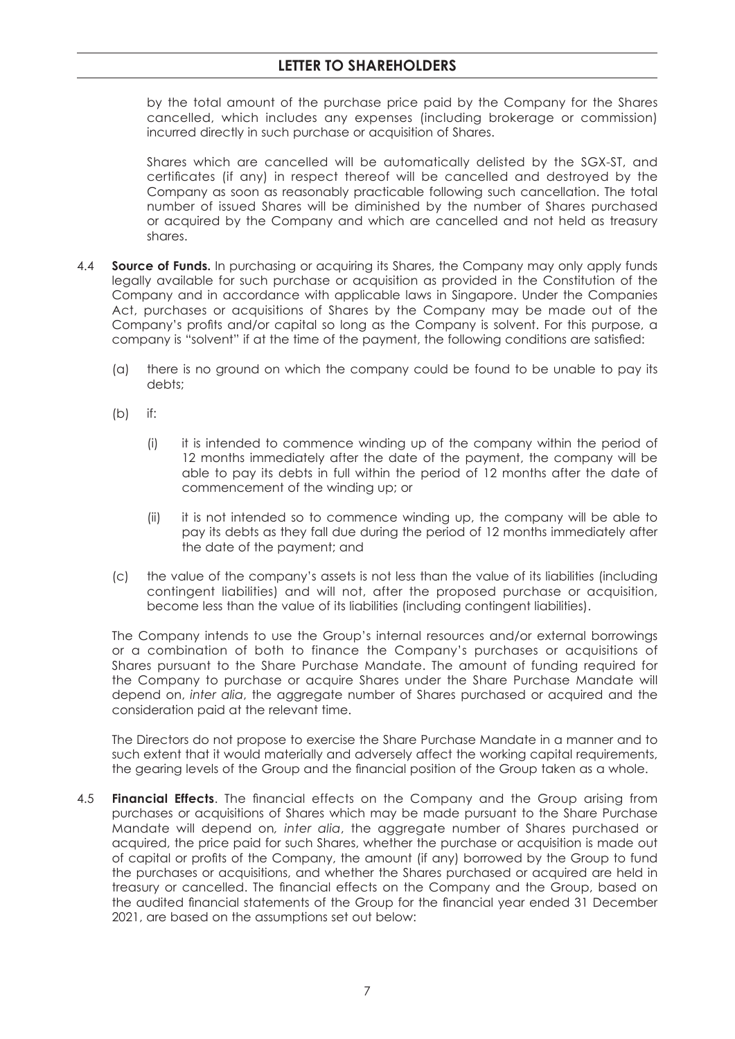by the total amount of the purchase price paid by the Company for the Shares cancelled, which includes any expenses (including brokerage or commission) incurred directly in such purchase or acquisition of Shares.

 Shares which are cancelled will be automatically delisted by the SGX-ST, and certificates (if any) in respect thereof will be cancelled and destroyed by the Company as soon as reasonably practicable following such cancellation. The total number of issued Shares will be diminished by the number of Shares purchased or acquired by the Company and which are cancelled and not held as treasury shares.

- 4.4 **Source of Funds.** In purchasing or acquiring its Shares, the Company may only apply funds legally available for such purchase or acquisition as provided in the Constitution of the Company and in accordance with applicable laws in Singapore. Under the Companies Act, purchases or acquisitions of Shares by the Company may be made out of the Company's profits and/or capital so long as the Company is solvent. For this purpose, a company is "solvent" if at the time of the payment, the following conditions are satisfied:
	- (a) there is no ground on which the company could be found to be unable to pay its debts;
	- (b) if:
		- (i) it is intended to commence winding up of the company within the period of 12 months immediately after the date of the payment, the company will be able to pay its debts in full within the period of 12 months after the date of commencement of the winding up; or
		- (ii) it is not intended so to commence winding up, the company will be able to pay its debts as they fall due during the period of 12 months immediately after the date of the payment; and
	- (c) the value of the company's assets is not less than the value of its liabilities (including contingent liabilities) and will not, after the proposed purchase or acquisition, become less than the value of its liabilities (including contingent liabilities).

 The Company intends to use the Group's internal resources and/or external borrowings or a combination of both to finance the Company's purchases or acquisitions of Shares pursuant to the Share Purchase Mandate. The amount of funding required for the Company to purchase or acquire Shares under the Share Purchase Mandate will depend on, *inter alia*, the aggregate number of Shares purchased or acquired and the consideration paid at the relevant time.

 The Directors do not propose to exercise the Share Purchase Mandate in a manner and to such extent that it would materially and adversely affect the working capital requirements, the gearing levels of the Group and the financial position of the Group taken as a whole.

4.5 **Financial Effects**. The financial effects on the Company and the Group arising from purchases or acquisitions of Shares which may be made pursuant to the Share Purchase Mandate will depend on*, inter alia*, the aggregate number of Shares purchased or acquired, the price paid for such Shares, whether the purchase or acquisition is made out of capital or profits of the Company, the amount (if any) borrowed by the Group to fund the purchases or acquisitions, and whether the Shares purchased or acquired are held in treasury or cancelled. The financial effects on the Company and the Group, based on the audited financial statements of the Group for the financial year ended 31 December 2021, are based on the assumptions set out below: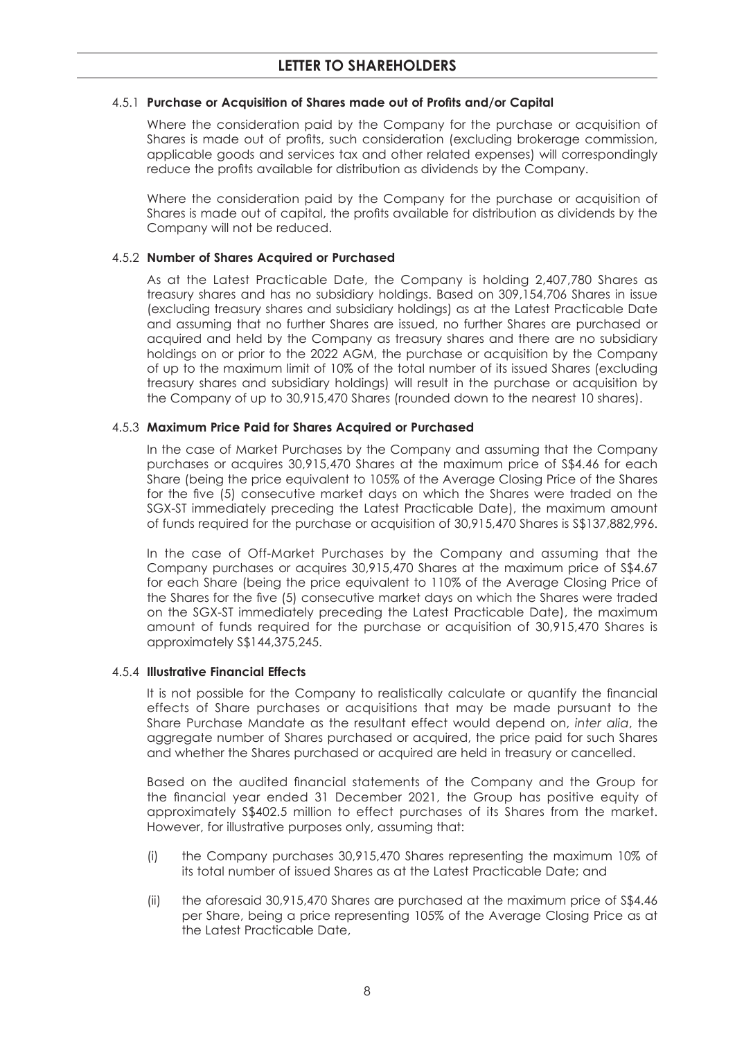#### 4.5.1 **Purchase or Acquisition of Shares made out of Profits and/or Capital**

 Where the consideration paid by the Company for the purchase or acquisition of Shares is made out of profits, such consideration (excluding brokerage commission, applicable goods and services tax and other related expenses) will correspondingly reduce the profits available for distribution as dividends by the Company.

 Where the consideration paid by the Company for the purchase or acquisition of Shares is made out of capital, the profits available for distribution as dividends by the Company will not be reduced.

#### 4.5.2 **Number of Shares Acquired or Purchased**

 As at the Latest Practicable Date, the Company is holding 2,407,780 Shares as treasury shares and has no subsidiary holdings. Based on 309,154,706 Shares in issue (excluding treasury shares and subsidiary holdings) as at the Latest Practicable Date and assuming that no further Shares are issued, no further Shares are purchased or acquired and held by the Company as treasury shares and there are no subsidiary holdings on or prior to the 2022 AGM, the purchase or acquisition by the Company of up to the maximum limit of 10% of the total number of its issued Shares (excluding treasury shares and subsidiary holdings) will result in the purchase or acquisition by the Company of up to 30,915,470 Shares (rounded down to the nearest 10 shares).

#### 4.5.3 **Maximum Price Paid for Shares Acquired or Purchased**

 In the case of Market Purchases by the Company and assuming that the Company purchases or acquires 30,915,470 Shares at the maximum price of S\$4.46 for each Share (being the price equivalent to 105% of the Average Closing Price of the Shares for the five (5) consecutive market days on which the Shares were traded on the SGX-ST immediately preceding the Latest Practicable Date), the maximum amount of funds required for the purchase or acquisition of 30,915,470 Shares is S\$137,882,996.

 In the case of Off-Market Purchases by the Company and assuming that the Company purchases or acquires 30,915,470 Shares at the maximum price of S\$4.67 for each Share (being the price equivalent to 110% of the Average Closing Price of the Shares for the five (5) consecutive market days on which the Shares were traded on the SGX-ST immediately preceding the Latest Practicable Date), the maximum amount of funds required for the purchase or acquisition of 30,915,470 Shares is approximately S\$144,375,245.

#### 4.5.4 **Illustrative Financial Effects**

It is not possible for the Company to realistically calculate or quantify the financial effects of Share purchases or acquisitions that may be made pursuant to the Share Purchase Mandate as the resultant effect would depend on, *inter alia*, the aggregate number of Shares purchased or acquired, the price paid for such Shares and whether the Shares purchased or acquired are held in treasury or cancelled.

Based on the audited financial statements of the Company and the Group for the financial year ended 31 December 2021, the Group has positive equity of approximately S\$402.5 million to effect purchases of its Shares from the market. However, for illustrative purposes only, assuming that:

- (i) the Company purchases 30,915,470 Shares representing the maximum 10% of its total number of issued Shares as at the Latest Practicable Date; and
- (ii) the aforesaid 30,915,470 Shares are purchased at the maximum price of S\$4.46 per Share, being a price representing 105% of the Average Closing Price as at the Latest Practicable Date,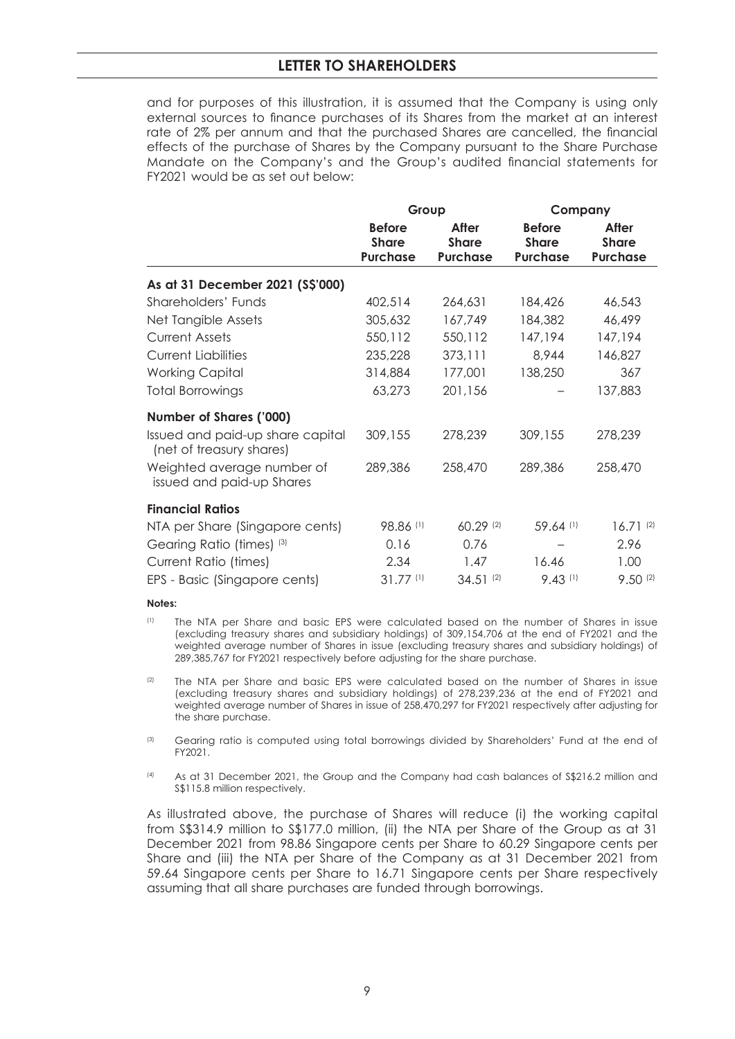and for purposes of this illustration, it is assumed that the Company is using only external sources to finance purchases of its Shares from the market at an interest rate of 2% per annum and that the purchased Shares are cancelled, the financial effects of the purchase of Shares by the Company pursuant to the Share Purchase Mandate on the Company's and the Group's audited financial statements for FY2021 would be as set out below:

|                                                              | Group                                            |                                          | Company                                          |                                          |
|--------------------------------------------------------------|--------------------------------------------------|------------------------------------------|--------------------------------------------------|------------------------------------------|
|                                                              | <b>Before</b><br><b>Share</b><br><b>Purchase</b> | After<br><b>Share</b><br><b>Purchase</b> | <b>Before</b><br><b>Share</b><br><b>Purchase</b> | After<br><b>Share</b><br><b>Purchase</b> |
| As at 31 December 2021 (S\$'000)                             |                                                  |                                          |                                                  |                                          |
| Shareholders' Funds                                          | 402,514                                          | 264,631                                  | 184,426                                          | 46,543                                   |
| Net Tangible Assets                                          | 305,632                                          | 167,749                                  | 184,382                                          | 46,499                                   |
| <b>Current Assets</b>                                        | 550,112                                          | 550,112                                  | 147,194                                          | 147,194                                  |
| <b>Current Liabilities</b>                                   | 235,228                                          | 373,111                                  | 8,944                                            | 146,827                                  |
| <b>Working Capital</b>                                       | 314,884                                          | 177,001                                  | 138,250                                          | 367                                      |
| <b>Total Borrowings</b>                                      | 63,273                                           | 201,156                                  |                                                  | 137,883                                  |
| <b>Number of Shares ('000)</b>                               |                                                  |                                          |                                                  |                                          |
| Issued and paid-up share capital<br>(net of treasury shares) | 309,155                                          | 278,239                                  | 309,155                                          | 278,239                                  |
| Weighted average number of<br>issued and paid-up Shares      | 289,386                                          | 258,470                                  | 289,386                                          | 258,470                                  |
| <b>Financial Ratios</b>                                      |                                                  |                                          |                                                  |                                          |
| NTA per Share (Singapore cents)                              | 98.86 (1)                                        | 60.29 (2)                                | 59.64 (1)                                        | 16.71(2)                                 |
| Gearing Ratio (times) (3)                                    | 0.16                                             | 0.76                                     |                                                  | 2.96                                     |
| Current Ratio (times)                                        | 2.34                                             | 1.47                                     | 16.46                                            | 1.00                                     |
| EPS - Basic (Singapore cents)                                | $31.77^{(1)}$                                    | $34.51^{(2)}$                            | $9.43$ <sup>(1)</sup>                            | 9.50(2)                                  |

#### **Notes:**

- (1) The NTA per Share and basic EPS were calculated based on the number of Shares in issue (excluding treasury shares and subsidiary holdings) of 309,154,706 at the end of FY2021 and the weighted average number of Shares in issue (excluding treasury shares and subsidiary holdings) of 289,385,767 for FY2021 respectively before adjusting for the share purchase.
- <sup>(2)</sup> The NTA per Share and basic EPS were calculated based on the number of Shares in issue (excluding treasury shares and subsidiary holdings) of 278,239,236 at the end of FY2021 and weighted average number of Shares in issue of 258,470,297 for FY2021 respectively after adjusting for the share purchase.
- <sup>(3)</sup> Gearing ratio is computed using total borrowings divided by Shareholders' Fund at the end of FY2021.
- (4) As at 31 December 2021, the Group and the Company had cash balances of S\$216.2 million and S\$115.8 million respectively.

 As illustrated above, the purchase of Shares will reduce (i) the working capital from S\$314.9 million to S\$177.0 million, (ii) the NTA per Share of the Group as at 31 December 2021 from 98.86 Singapore cents per Share to 60.29 Singapore cents per Share and (iii) the NTA per Share of the Company as at 31 December 2021 from 59.64 Singapore cents per Share to 16.71 Singapore cents per Share respectively assuming that all share purchases are funded through borrowings.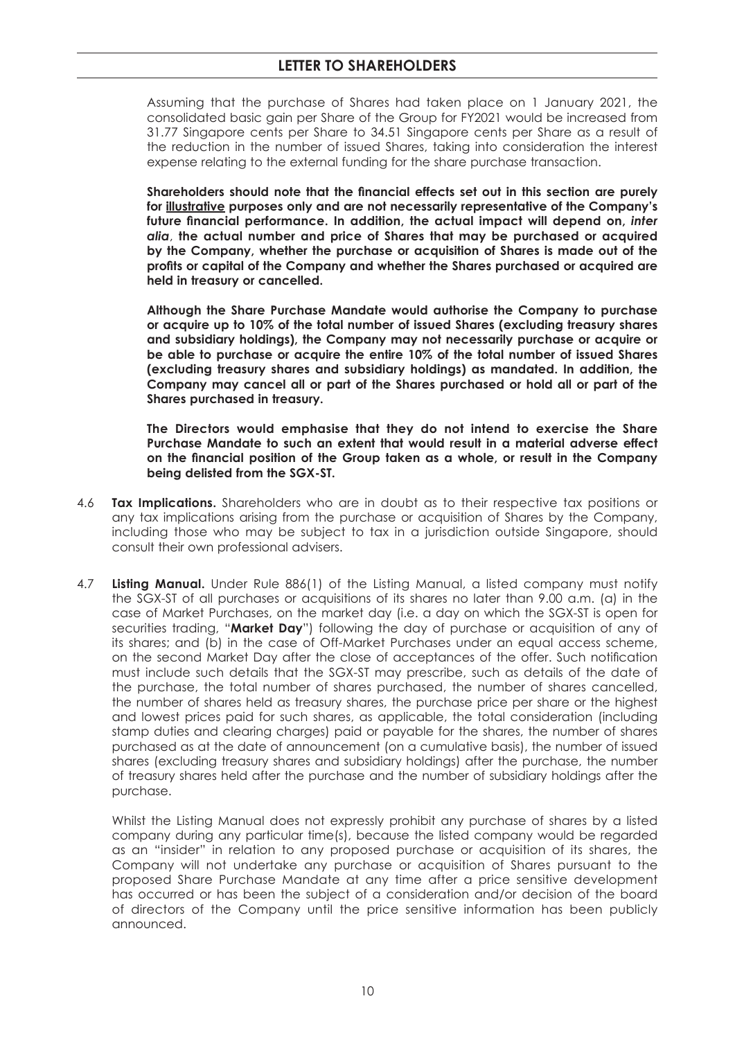Assuming that the purchase of Shares had taken place on 1 January 2021, the consolidated basic gain per Share of the Group for FY2021 would be increased from 31.77 Singapore cents per Share to 34.51 Singapore cents per Share as a result of the reduction in the number of issued Shares, taking into consideration the interest expense relating to the external funding for the share purchase transaction.

Shareholders should note that the financial effects set out in this section are purely **for illustrative purposes only and are not necessarily representative of the Company's**  future financial performance. In addition, the actual impact will depend on, *inter alia*, **the actual number and price of Shares that may be purchased or acquired by the Company, whether the purchase or acquisition of Shares is made out of the**  profits or capital of the Company and whether the Shares purchased or acquired are **held in treasury or cancelled.**

 **Although the Share Purchase Mandate would authorise the Company to purchase or acquire up to 10% of the total number of issued Shares (excluding treasury shares and subsidiary holdings), the Company may not necessarily purchase or acquire or be able to purchase or acquire the entire 10% of the total number of issued Shares (excluding treasury shares and subsidiary holdings) as mandated. In addition, the Company may cancel all or part of the Shares purchased or hold all or part of the Shares purchased in treasury.**

 **The Directors would emphasise that they do not intend to exercise the Share Purchase Mandate to such an extent that would result in a material adverse effect**  on the financial position of the Group taken as a whole, or result in the Company **being delisted from the SGX-ST.**

- 4.6 **Tax Implications.** Shareholders who are in doubt as to their respective tax positions or any tax implications arising from the purchase or acquisition of Shares by the Company, including those who may be subject to tax in a jurisdiction outside Singapore, should consult their own professional advisers.
- 4.7 **Listing Manual.** Under Rule 886(1) of the Listing Manual, a listed company must notify the SGX-ST of all purchases or acquisitions of its shares no later than 9.00 a.m. (a) in the case of Market Purchases, on the market day (i.e. a day on which the SGX-ST is open for securities trading, "**Market Day**") following the day of purchase or acquisition of any of its shares; and (b) in the case of Off-Market Purchases under an equal access scheme, on the second Market Day after the close of acceptances of the offer. Such notification must include such details that the SGX-ST may prescribe, such as details of the date of the purchase, the total number of shares purchased, the number of shares cancelled, the number of shares held as treasury shares, the purchase price per share or the highest and lowest prices paid for such shares, as applicable, the total consideration (including stamp duties and clearing charges) paid or payable for the shares, the number of shares purchased as at the date of announcement (on a cumulative basis), the number of issued shares (excluding treasury shares and subsidiary holdings) after the purchase, the number of treasury shares held after the purchase and the number of subsidiary holdings after the purchase.

 Whilst the Listing Manual does not expressly prohibit any purchase of shares by a listed company during any particular time(s), because the listed company would be regarded as an "insider" in relation to any proposed purchase or acquisition of its shares, the Company will not undertake any purchase or acquisition of Shares pursuant to the proposed Share Purchase Mandate at any time after a price sensitive development has occurred or has been the subject of a consideration and/or decision of the board of directors of the Company until the price sensitive information has been publicly announced.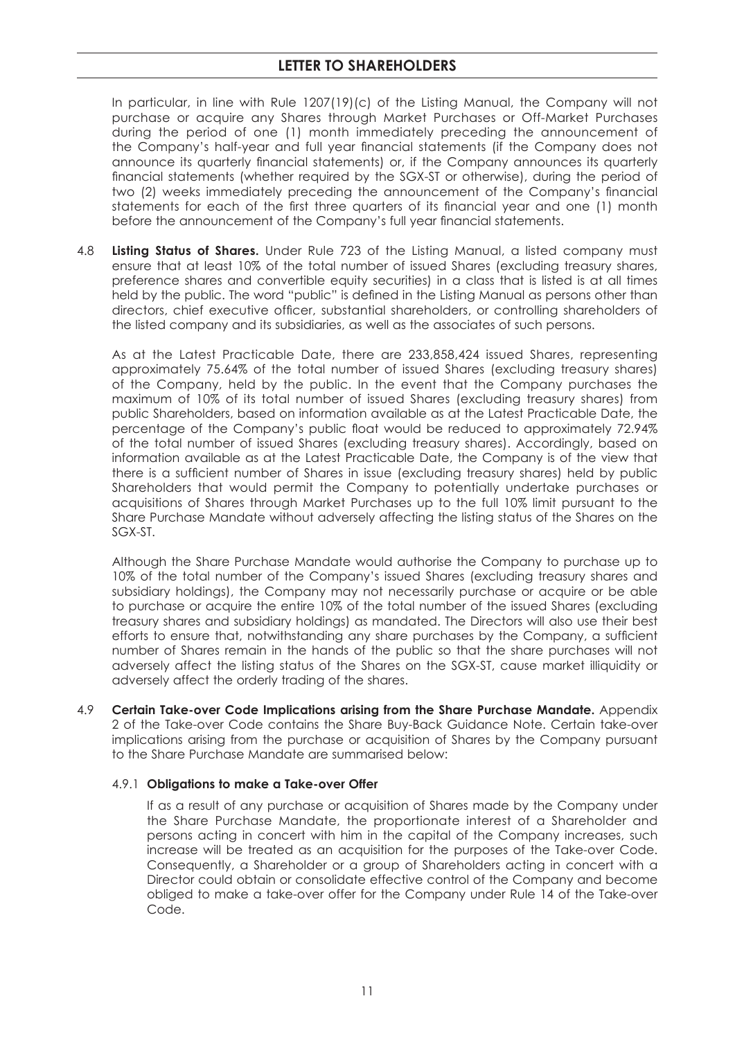In particular, in line with Rule 1207(19)(c) of the Listing Manual, the Company will not purchase or acquire any Shares through Market Purchases or Off-Market Purchases during the period of one (1) month immediately preceding the announcement of the Company's half-year and full year financial statements (if the Company does not announce its quarterly financial statements) or, if the Company announces its quarterly financial statements (whether required by the SGX-ST or otherwise), during the period of two (2) weeks immediately preceding the announcement of the Company's financial statements for each of the first three quarters of its financial year and one (1) month before the announcement of the Company's full year financial statements.

4.8 **Listing Status of Shares.** Under Rule 723 of the Listing Manual, a listed company must ensure that at least 10% of the total number of issued Shares (excluding treasury shares, preference shares and convertible equity securities) in a class that is listed is at all times held by the public. The word "public" is defined in the Listing Manual as persons other than directors, chief executive officer, substantial shareholders, or controlling shareholders of the listed company and its subsidiaries, as well as the associates of such persons.

 As at the Latest Practicable Date, there are 233,858,424 issued Shares, representing approximately 75.64% of the total number of issued Shares (excluding treasury shares) of the Company, held by the public. In the event that the Company purchases the maximum of 10% of its total number of issued Shares (excluding treasury shares) from public Shareholders, based on information available as at the Latest Practicable Date, the percentage of the Company's public float would be reduced to approximately 72.94% of the total number of issued Shares (excluding treasury shares). Accordingly, based on information available as at the Latest Practicable Date, the Company is of the view that there is a sufficient number of Shares in issue (excluding treasury shares) held by public Shareholders that would permit the Company to potentially undertake purchases or acquisitions of Shares through Market Purchases up to the full 10% limit pursuant to the Share Purchase Mandate without adversely affecting the listing status of the Shares on the SGX-ST.

 Although the Share Purchase Mandate would authorise the Company to purchase up to 10% of the total number of the Company's issued Shares (excluding treasury shares and subsidiary holdings), the Company may not necessarily purchase or acquire or be able to purchase or acquire the entire 10% of the total number of the issued Shares (excluding treasury shares and subsidiary holdings) as mandated. The Directors will also use their best efforts to ensure that, notwithstanding any share purchases by the Company, a sufficient number of Shares remain in the hands of the public so that the share purchases will not adversely affect the listing status of the Shares on the SGX-ST, cause market illiquidity or adversely affect the orderly trading of the shares.

4.9 **Certain Take-over Code Implications arising from the Share Purchase Mandate.** Appendix 2 of the Take-over Code contains the Share Buy-Back Guidance Note. Certain take-over implications arising from the purchase or acquisition of Shares by the Company pursuant to the Share Purchase Mandate are summarised below:

#### 4.9.1 **Obligations to make a Take-over Offer**

 If as a result of any purchase or acquisition of Shares made by the Company under the Share Purchase Mandate, the proportionate interest of a Shareholder and persons acting in concert with him in the capital of the Company increases, such increase will be treated as an acquisition for the purposes of the Take-over Code. Consequently, a Shareholder or a group of Shareholders acting in concert with a Director could obtain or consolidate effective control of the Company and become obliged to make a take-over offer for the Company under Rule 14 of the Take-over Code.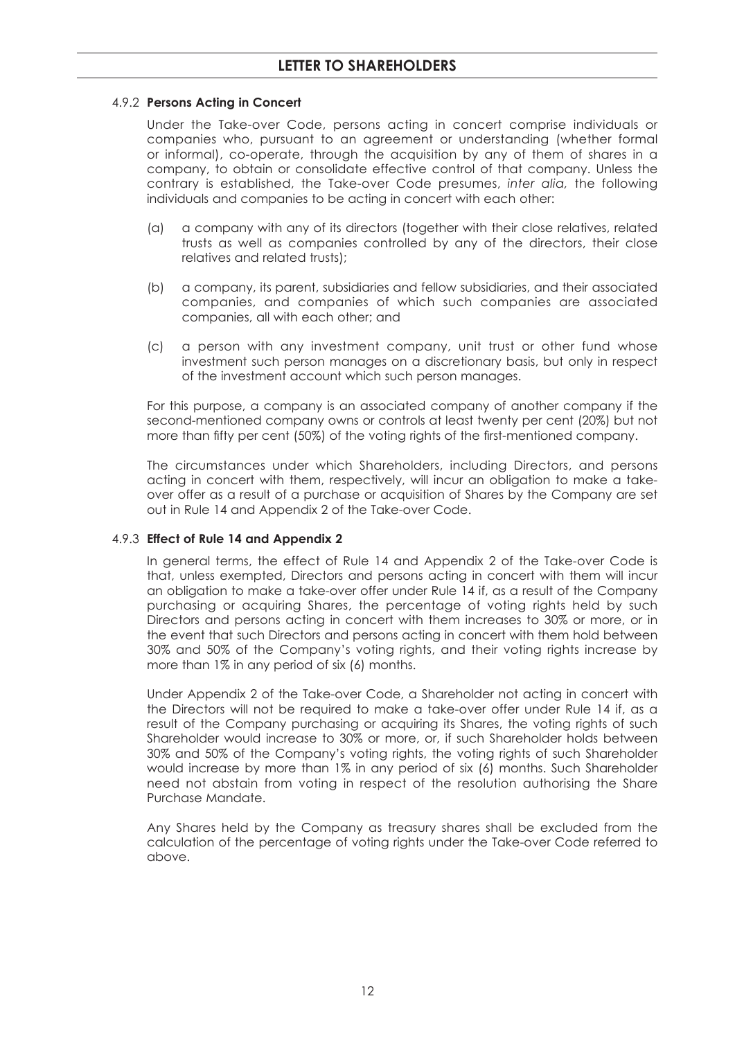#### 4.9.2 **Persons Acting in Concert**

 Under the Take-over Code, persons acting in concert comprise individuals or companies who, pursuant to an agreement or understanding (whether formal or informal), co-operate, through the acquisition by any of them of shares in a company, to obtain or consolidate effective control of that company. Unless the contrary is established, the Take-over Code presumes, *inter alia,* the following individuals and companies to be acting in concert with each other:

- (a) a company with any of its directors (together with their close relatives, related trusts as well as companies controlled by any of the directors, their close relatives and related trusts);
- (b) a company, its parent, subsidiaries and fellow subsidiaries, and their associated companies, and companies of which such companies are associated companies, all with each other; and
- (c) a person with any investment company, unit trust or other fund whose investment such person manages on a discretionary basis, but only in respect of the investment account which such person manages.

 For this purpose, a company is an associated company of another company if the second-mentioned company owns or controls at least twenty per cent (20%) but not more than fifty per cent (50%) of the voting rights of the first-mentioned company.

 The circumstances under which Shareholders, including Directors, and persons acting in concert with them, respectively, will incur an obligation to make a takeover offer as a result of a purchase or acquisition of Shares by the Company are set out in Rule 14 and Appendix 2 of the Take-over Code.

#### 4.9.3 **Effect of Rule 14 and Appendix 2**

 In general terms, the effect of Rule 14 and Appendix 2 of the Take-over Code is that, unless exempted, Directors and persons acting in concert with them will incur an obligation to make a take-over offer under Rule 14 if, as a result of the Company purchasing or acquiring Shares, the percentage of voting rights held by such Directors and persons acting in concert with them increases to 30% or more, or in the event that such Directors and persons acting in concert with them hold between 30% and 50% of the Company's voting rights, and their voting rights increase by more than 1% in any period of six (6) months.

 Under Appendix 2 of the Take-over Code, a Shareholder not acting in concert with the Directors will not be required to make a take-over offer under Rule 14 if, as a result of the Company purchasing or acquiring its Shares, the voting rights of such Shareholder would increase to 30% or more, or, if such Shareholder holds between 30% and 50% of the Company's voting rights, the voting rights of such Shareholder would increase by more than 1% in any period of six (6) months. Such Shareholder need not abstain from voting in respect of the resolution authorising the Share Purchase Mandate.

 Any Shares held by the Company as treasury shares shall be excluded from the calculation of the percentage of voting rights under the Take-over Code referred to above.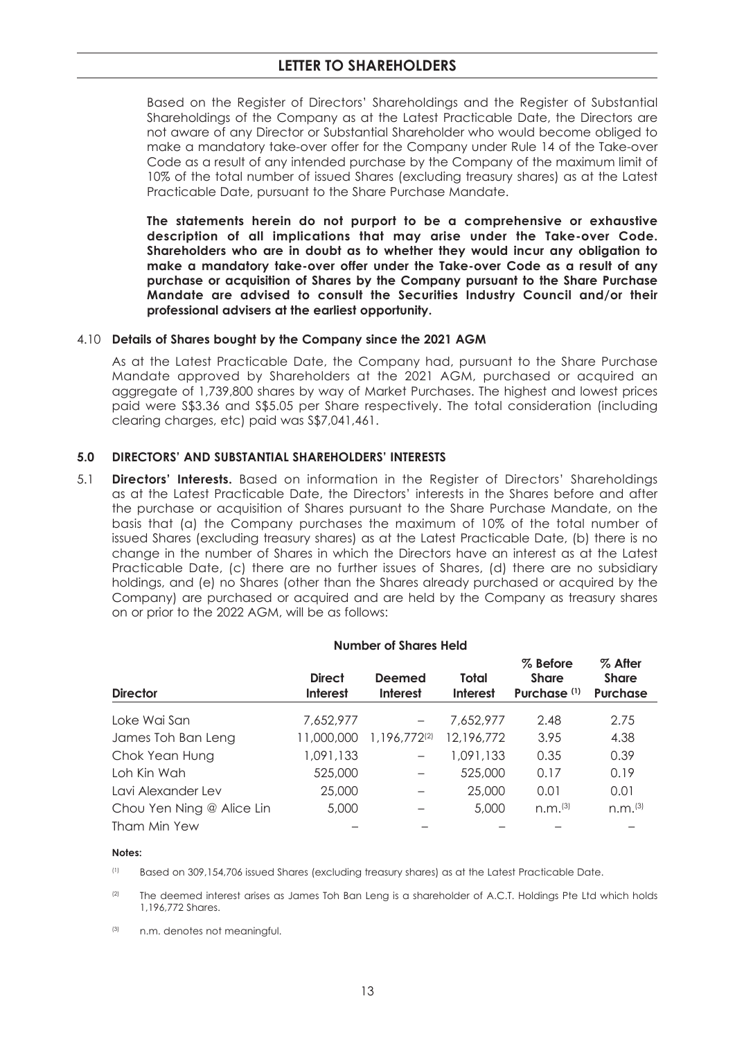Based on the Register of Directors' Shareholdings and the Register of Substantial Shareholdings of the Company as at the Latest Practicable Date, the Directors are not aware of any Director or Substantial Shareholder who would become obliged to make a mandatory take-over offer for the Company under Rule 14 of the Take-over Code as a result of any intended purchase by the Company of the maximum limit of 10% of the total number of issued Shares (excluding treasury shares) as at the Latest Practicable Date, pursuant to the Share Purchase Mandate.

 **The statements herein do not purport to be a comprehensive or exhaustive description of all implications that may arise under the Take-over Code. Shareholders who are in doubt as to whether they would incur any obligation to make a mandatory take-over offer under the Take-over Code as a result of any purchase or acquisition of Shares by the Company pursuant to the Share Purchase Mandate are advised to consult the Securities Industry Council and/or their professional advisers at the earliest opportunity.**

#### 4.10 **Details of Shares bought by the Company since the 2021 AGM**

 As at the Latest Practicable Date, the Company had, pursuant to the Share Purchase Mandate approved by Shareholders at the 2021 AGM, purchased or acquired an aggregate of 1,739,800 shares by way of Market Purchases. The highest and lowest prices paid were S\$3.36 and S\$5.05 per Share respectively. The total consideration (including clearing charges, etc) paid was S\$7,041,461.

#### **5.0 DIRECTORS' AND SUBSTANTIAL SHAREHOLDERS' INTERESTS**

5.1 **Directors' Interests.** Based on information in the Register of Directors' Shareholdings as at the Latest Practicable Date, the Directors' interests in the Shares before and after the purchase or acquisition of Shares pursuant to the Share Purchase Mandate, on the basis that (a) the Company purchases the maximum of 10% of the total number of issued Shares (excluding treasury shares) as at the Latest Practicable Date, (b) there is no change in the number of Shares in which the Directors have an interest as at the Latest Practicable Date, (c) there are no further issues of Shares, (d) there are no subsidiary holdings, and (e) no Shares (other than the Shares already purchased or acquired by the Company) are purchased or acquired and are held by the Company as treasury shares on or prior to the 2022 AGM, will be as follows:

|  |  | <b>Number of Shares Held</b> |  |
|--|--|------------------------------|--|
|  |  |                              |  |

| <b>Director</b>           | <b>Direct</b><br><b>Interest</b> | Deemed<br><b>Interest</b> | Total<br><b>Interest</b> | % Before<br><b>Share</b><br>Purchase <sup>(1)</sup> | % After<br><b>Share</b><br><b>Purchase</b> |
|---------------------------|----------------------------------|---------------------------|--------------------------|-----------------------------------------------------|--------------------------------------------|
| Loke Wai San              | 7,652,977                        | $\overline{\phantom{m}}$  | 7.652.977                | 2.48                                                | 2.75                                       |
| James Toh Ban Leng        | 11,000,000                       | 1,196,772(2)              | 12,196,772               | 3.95                                                | 4.38                                       |
| Chok Yean Hung            | 1,091,133                        | $\overline{\phantom{0}}$  | 1,091,133                | 0.35                                                | 0.39                                       |
| Loh Kin Wah               | 525,000                          |                           | 525,000                  | 0.17                                                | 0.19                                       |
| Lavi Alexander Lev        | 25,000                           |                           | 25,000                   | 0.01                                                | 0.01                                       |
| Chou Yen Ning @ Alice Lin | 5,000                            |                           | 5,000                    | n.m. <sup>(3)</sup>                                 | n.m. <sup>(3)</sup>                        |
| Tham Min Yew              |                                  |                           |                          |                                                     |                                            |

#### **Notes:**

(1) Based on 309,154,706 issued Shares (excluding treasury shares) as at the Latest Practicable Date.

<sup>(2)</sup> The deemed interest arises as James Toh Ban Leng is a shareholder of A.C.T. Holdings Pte Ltd which holds 1,196,772 Shares.

(3) n.m. denotes not meaningful.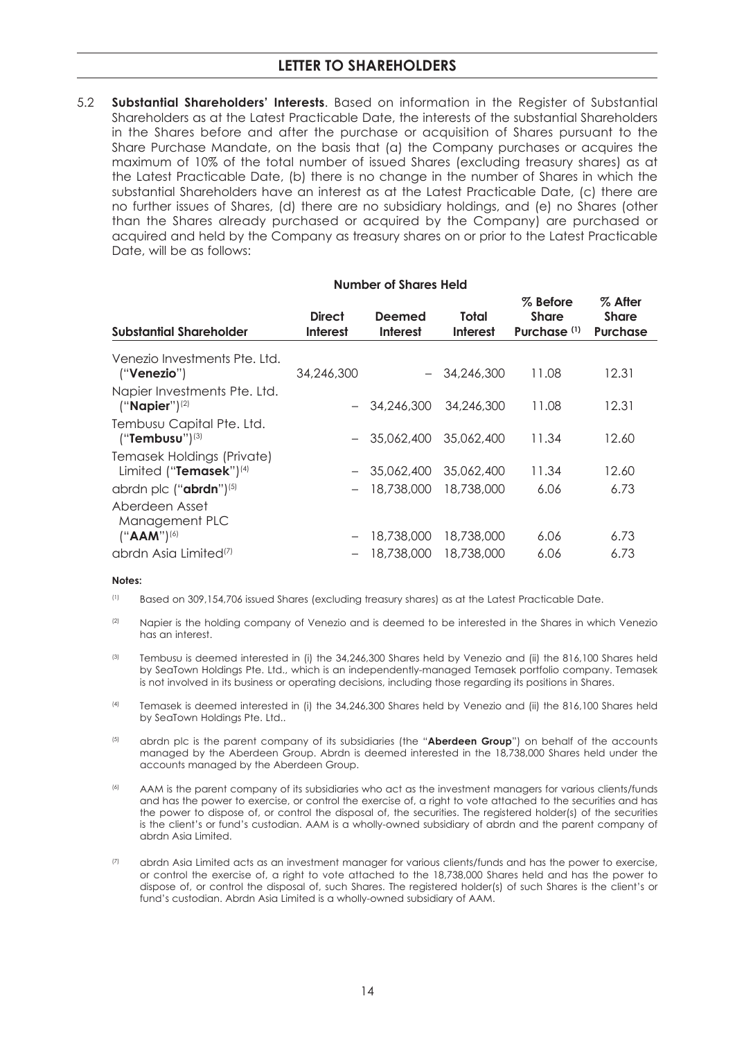5.2 **Substantial Shareholders' Interests**. Based on information in the Register of Substantial Shareholders as at the Latest Practicable Date, the interests of the substantial Shareholders in the Shares before and after the purchase or acquisition of Shares pursuant to the Share Purchase Mandate, on the basis that (a) the Company purchases or acquires the maximum of 10% of the total number of issued Shares (excluding treasury shares) as at the Latest Practicable Date, (b) there is no change in the number of Shares inwhich the substantial Shareholders have an interest as at the Latest Practicable Date, (c) there are no further issues of Shares, (d) there are no subsidiary holdings, and (e) no Shares (other than the Shares already purchased or acquired by the Company) are purchased or acquired and held by the Company as treasury shares on or prior to the Latest Practicable Date, will be as follows:

|                                                         | Number of Shares Held            |                           |                          |                                                     |                                            |
|---------------------------------------------------------|----------------------------------|---------------------------|--------------------------|-----------------------------------------------------|--------------------------------------------|
| <b>Substantial Shareholder</b>                          | <b>Direct</b><br><b>Interest</b> | Deemed<br><b>Interest</b> | Total<br><b>Interest</b> | % Before<br><b>Share</b><br>Purchase <sup>(1)</sup> | % After<br><b>Share</b><br><b>Purchase</b> |
| Venezio Investments Pte. Ltd.<br>("Venezio")            | 34,246,300                       |                           | $-34.246.300$            | 11.08                                               | 12.31                                      |
| Napier Investments Pte. Ltd.<br>$("Napier")^{(2)}$      |                                  | $-34.246.300$             | 34,246,300               | 11.08                                               | 12.31                                      |
| Tembusu Capital Pte. Ltd.<br>$("Tembusu")^{(3)}$        |                                  | $-35.062.40035.062.400$   |                          | 11.34                                               | 12.60                                      |
| Temasek Holdings (Private)<br>Limited ("Temasek") $(4)$ |                                  | $-35,062,400$             | 35,062,400               | 11.34                                               | 12.60                                      |
| abrdn plc $("abrdn")^{(5)}$                             |                                  | 18,738,000                | 18,738,000               | 6.06                                                | 6.73                                       |
| Aberdeen Asset<br>Management PLC<br>$("AAM")^{(6)}$     | $\overline{\phantom{m}}$         | 18,738,000                | 18,738,000               | 6.06                                                | 6.73                                       |
| abrdn Asia Limited <sup>(7)</sup>                       |                                  | 18,738,000                | 18,738,000               | 6.06                                                | 6.73                                       |

#### **Notes:**

- (1) Based on 309,154,706 issued Shares (excluding treasury shares) as at the Latest Practicable Date.
- <sup>(2)</sup> Napier is the holding company of Venezio and is deemed to be interested in the Shares in which Venezio has an interest.
- <sup>(3)</sup> Tembusu is deemed interested in (i) the 34,246,300 Shares held by Venezio and (ii) the 816,100 Shares held by SeaTown Holdings Pte. Ltd., which is an independently-managed Temasek portfolio company. Temasek is not involved in its business or operating decisions, including those regarding its positions in Shares.
- (4) Temasek is deemed interested in (i) the 34,246,300 Shares held by Venezio and (ii) the 816,100 Shares held by SeaTown Holdings Pte. Ltd..
- (5) abrdn plc is the parent company of its subsidiaries (the "**Aberdeen Group**") on behalf of the accounts managed by the Aberdeen Group. Abrdn is deemed interested in the 18,738,000 Shares held under the accounts managed by the Aberdeen Group.
- (6) AAM is the parent company of its subsidiaries who act as the investment managers for various clients/funds and has the power to exercise, or control the exercise of, a right to vote attached to the securities and has the power to dispose of, or control the disposal of, the securities. The registered holder(s) of the securities is the client's or fund's custodian. AAM is a wholly-owned subsidiary of abrdn and the parent company of abrdn Asia Limited.
- (7) abrdn Asia Limited acts as an investment manager for various clients/funds and has the power to exercise, or control the exercise of, a right to vote attached to the 18,738,000 Shares held and has the power to dispose of, or control the disposal of, such Shares. The registered holder(s) of such Shares is the client's or fund's custodian. Abrdn Asia Limited is a wholly-owned subsidiary of AAM.